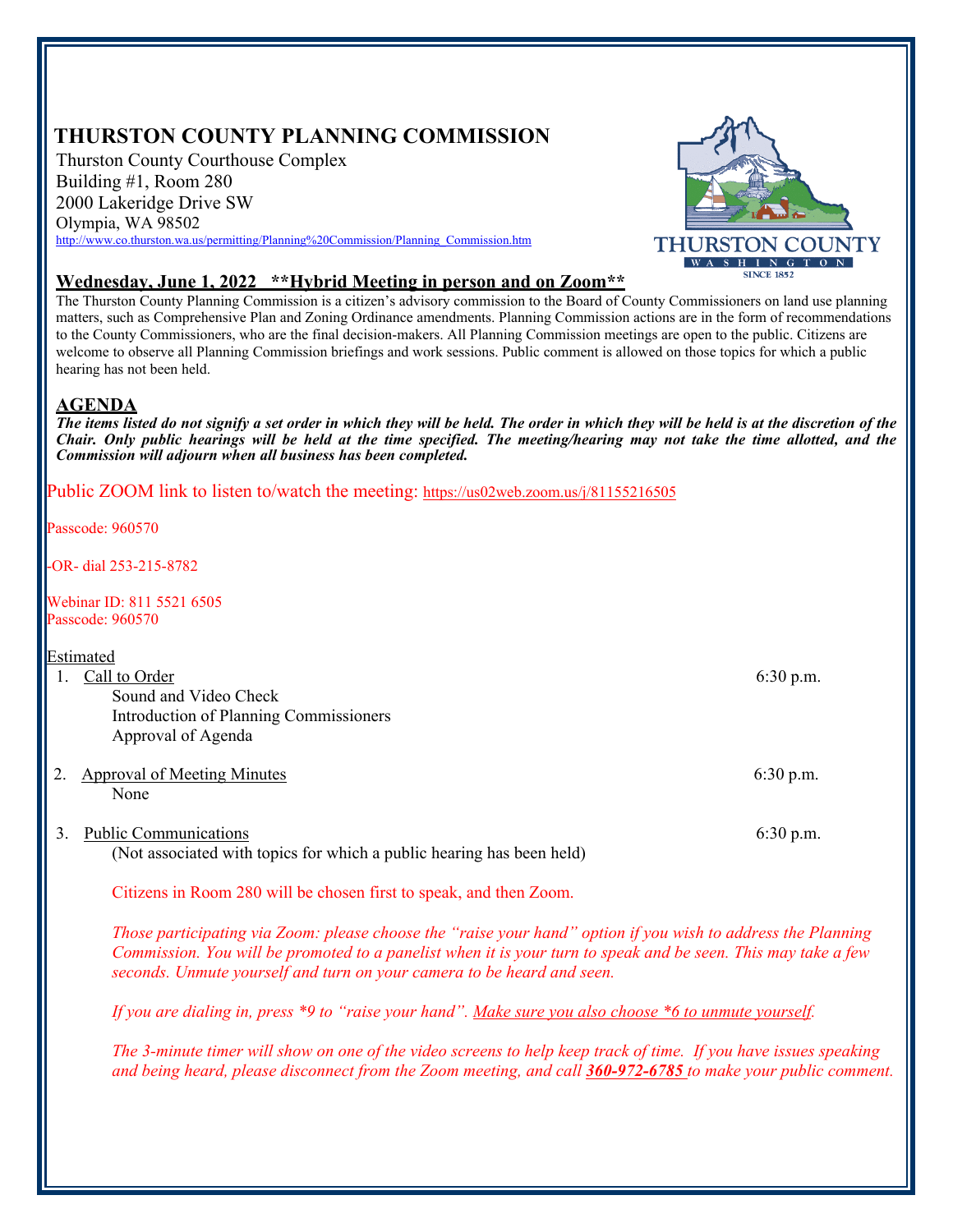# **THURSTON COUNTY PLANNING COMMISSION**

Thurston County Courthouse Complex Building #1, Room 280 2000 Lakeridge Drive SW Olympia, WA 98502 http://www.co.thurston.wa.us/permitting/Planning%20Commission/Planning\_Commission.htm



## **Wednesday, June 1, 2022 \*\*Hybrid Meeting in person and on Zoom\*\***

The Thurston County Planning Commission is a citizen's advisory commission to the Board of County Commissioners on land use planning matters, such as Comprehensive Plan and Zoning Ordinance amendments. Planning Commission actions are in the form of recommendations to the County Commissioners, who are the final decision-makers. All Planning Commission meetings are open to the public. Citizens are welcome to observe all Planning Commission briefings and work sessions. Public comment is allowed on those topics for which a public hearing has not been held.

## **AGENDA**

*The items listed do not signify a set order in which they will be held. The order in which they will be held is at the discretion of the Chair. Only public hearings will be held at the time specified. The meeting/hearing may not take the time allotted, and the Commission will adjourn when all business has been completed.* 

Public ZOOM link to listen to/watch the meeting: https://us02web.zoom.us/j/81155216505

Passcode: 960570

-OR- dial 253-215-8782

Webinar ID: 811 5521 6505 Passcode: 960570

#### Estimated

1. Call to Order 6:30 p.m. Sound and Video Check Introduction of Planning Commissioners Approval of Agenda

2. Approval of Meeting Minutes 6:30 p.m. None

3. Public Communications 6:30 p.m. (Not associated with topics for which a public hearing has been held)

Citizens in Room 280 will be chosen first to speak, and then Zoom.

*Those participating via Zoom: please choose the "raise your hand" option if you wish to address the Planning Commission. You will be promoted to a panelist when it is your turn to speak and be seen. This may take a few seconds. Unmute yourself and turn on your camera to be heard and seen.* 

*If you are dialing in, press \*9 to "raise your hand". Make sure you also choose \*6 to unmute yourself.* 

*The 3-minute timer will show on one of the video screens to help keep track of time. If you have issues speaking and being heard, please disconnect from the Zoom meeting, and call 360-972-6785 to make your public comment.*